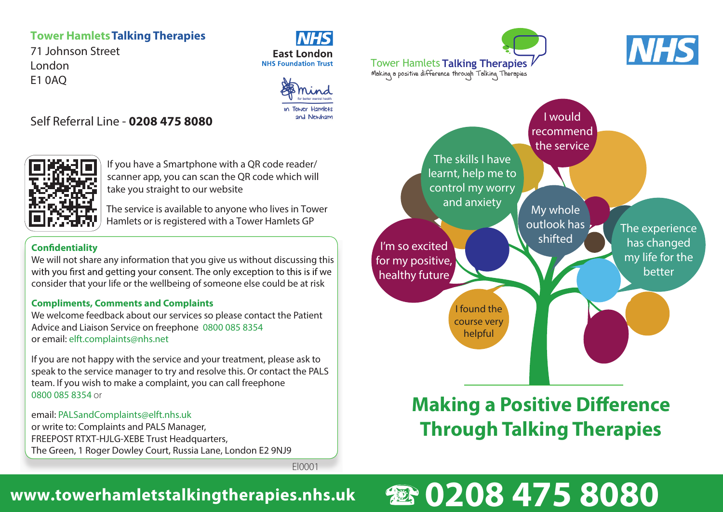## **Tower HamletsTalking Therapies**

Self Referral Line - **0208 475 8080**

71 Johnson Street London E1 0AQ

### **NHS East London NHS Foundation Trust**



El0001



If you have a Smartphone with a QR code reader/ scanner app, you can scan the QR code which will take you straight to our website

The service is available to anyone who lives in Tower Hamlets or is registered with a Tower Hamlets GP

### **Confidentiality**

We will not share any information that you give us without discussing this with you first and getting your consent. The only exception to this is if we consider that your life or the wellbeing of someone else could be at risk

### **Compliments, Comments and Complaints**

We welcome feedback about our services so please contact the Patient Advice and Liaison Service on freephone 0800 085 8354 or email: elft.complaints@nhs.net

If you are not happy with the service and your treatment, please ask to speak to the service manager to try and resolve this. Or contact the PALS team. If you wish to make a complaint, you can call freephone 0800 085 8354 or

email: PALSandComplaints@elft.nhs.uk or write to: Complaints and PALS Manager, FREEPOST RTXT-HJLG-XEBE Trust Headquarters, The Green, 1 Roger Dowley Court, Russia Lane, London E2 9NJ9

I would recommend the service My whole outlook has shifted I'm so excited for my positive, healthy future The skills I have learnt, help me to control my worry and anxiety Making a positive difference through Talking Therapies Tower Hamlets **Talking Therapies**

> I found the course very helpful

# **Making a Positive Difference Through Talking Therapies**

The experience has changed my life for the better

**NHS** 

# **0208 475 8080**

#### March 2013 BL0266 **www.towerhamletstalkingtherapies.nhs.uk**